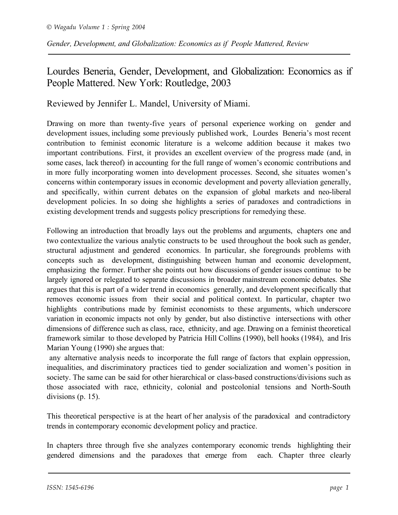## Lourdes Beneria, Gender, Development, and Globalization: Economics as if People Mattered. New York: Routledge, 2003

Reviewed by Jennifer L. Mandel, University of Miami.

Drawing on more than twenty-five years of personal experience working on gender and development issues, including some previously published work, Lourdes Beneria's most recent contribution to feminist economic literature is a welcome addition because it makes two important contributions. First, it provides an excellent overview of the progress made (and, in some cases, lack thereof) in accounting for the full range of women's economic contributions and in more fully incorporating women into development processes. Second, she situates women's concerns within contemporary issues in economic development and poverty alleviation generally, and specifically, within current debates on the expansion of global markets and neo-liberal development policies. In so doing she highlights a series of paradoxes and contradictions in existing development trends and suggests policy prescriptions for remedying these.

Following an introduction that broadly lays out the problems and arguments, chapters one and two contextualize the various analytic constructs to be used throughout the book such as gender, structural adjustment and gendered economics. In particular, she foregrounds problems with concepts such as development, distinguishing between human and economic development, emphasizing the former. Further she points out how discussions of gender issues continue to be largely ignored or relegated to separate discussions in broader mainstream economic debates. She argues that this is part of a wider trend in economics generally, and development specifically that removes economic issues from their social and political context. In particular, chapter two highlights contributions made by feminist economists to these arguments, which underscore variation in economic impacts not only by gender, but also distinctive intersections with other dimensions of difference such as class, race, ethnicity, and age. Drawing on a feminist theoretical framework similar to those developed by Patricia Hill Collins (1990), bell hooks (1984), and Iris Marian Young (1990) she argues that:

any alternative analysis needs to incorporate the full range of factors that explain oppression, inequalities, and discriminatory practices tied to gender socialization and women's position in society. The same can be said for other hierarchical or class-based constructions/divisions such as those associated with race, ethnicity, colonial and postcolonial tensions and North-South divisions (p. 15).

This theoretical perspective is at the heart of her analysis of the paradoxical and contradictory trends in contemporary economic development policy and practice.

In chapters three through five she analyzes contemporary economic trends highlighting their gendered dimensions and the paradoxes that emerge from each. Chapter three clearly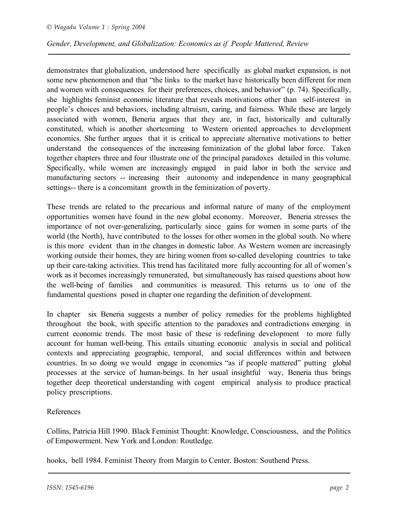demonstrates that globalization, understood here specifically as global market expansion, is not some new phenomenon and that "the links to the market have historically been different for men and women with consequences for their preferences, choices, and behavior" (p. 74). Specifically, she highlights feminist economic literature that reveals motivations other than self-interest in people's choices and behaviors, including altruism, caring, and fairness. While these are largely associated with women, Beneria argues that they are, in fact, historically and culturally constituted, which is another shortcoming to Western oriented approaches to development economics. She further argues that it is critical to appreciate alternative motivations to better understand the consequences of the increasing feminization of the global labor force. Taken together chapters three and four illustrate one of the principal paradoxes detailed in this volume. Specifically, while women are increasingly engaged in paid labor in both the service and manufacturing sectors -- increasing their autonomy and independence in many geographical settings-- there is a concomitant growth in the feminization of poverty.

These trends are related to the precarious and informal nature of many of the employment opportunities women have found in the new global economy. Moreover, Beneria stresses the importance of not over-generalizing, particularly since gains for women in some parts of the world (the North), have contributed to the losses for other women in the global south. No where is this more evident than in the changes in domestic labor. As Western women are increasingly working outside their homes, they are hiring women from so-called developing countries to take up their care-taking activities. This trend has facilitated more fully accounting for all of women's work as it becomes increasingly remunerated, but simultaneously has raised questions about how the well-being of families and communities is measured. This returns us to one of the fundamental questions posed in chapter one regarding the definition of development.

In chapter six Beneria suggests a number of policy remedies for the problems highlighted throughout the book, with specific attention to the paradoxes and contradictions emerging in current economic trends. The most basic of these is redefining development to more fully account for human well-being. This entails situating economic analysis in social and political contexts and appreciating geographic, temporal, and social differences within and between countries. In so doing we would engage in economics "as if people mattered" putting global processes at the service of human-beings. In her usual insightful way, Beneria thus brings together deep theoretical understanding with cogent empirical analysis to produce practical policy prescriptions.

## References

Collins, Patricia Hill 1990. Black Feminist Thought: Knowledge, Consciousness, and the Politics of Empowerment. New York and London: Routledge.

hooks, bell 1984. Feminist Theory from Margin to Center. Boston: Southend Press.